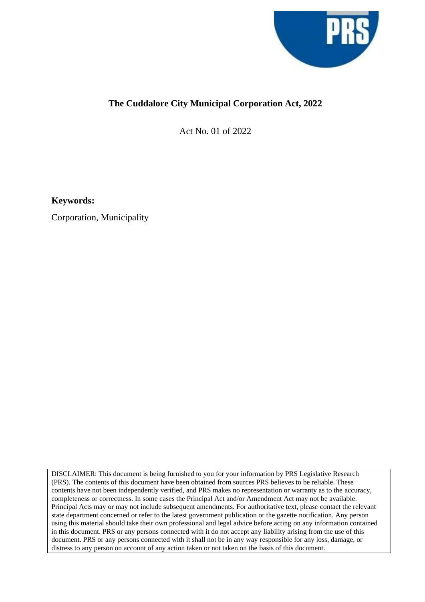

## **The Cuddalore City Municipal Corporation Act, 2022**

Act No. 01 of 2022

**Keywords:**

Corporation, Municipality

DISCLAIMER: This document is being furnished to you for your information by PRS Legislative Research (PRS). The contents of this document have been obtained from sources PRS believes to be reliable. These contents have not been independently verified, and PRS makes no representation or warranty as to the accuracy, completeness or correctness. In some cases the Principal Act and/or Amendment Act may not be available. Principal Acts may or may not include subsequent amendments. For authoritative text, please contact the relevant state department concerned or refer to the latest government publication or the gazette notification. Any person using this material should take their own professional and legal advice before acting on any information contained in this document. PRS or any persons connected with it do not accept any liability arising from the use of this document. PRS or any persons connected with it shall not be in any way responsible for any loss, damage, or distress to any person on account of any action taken or not taken on the basis of this document.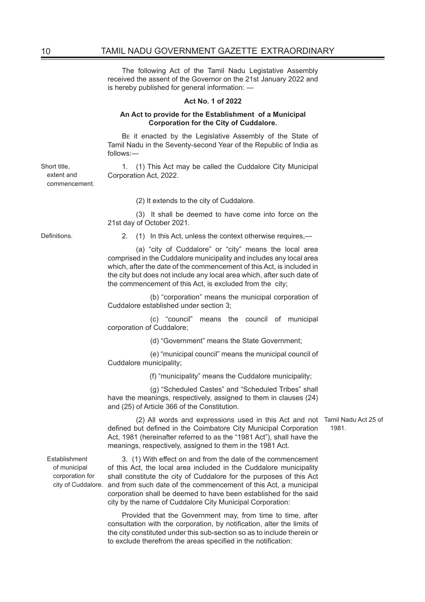The following Act of the Tamil Nadu Legistative Assembly received the assent of the Governor on the 21st January 2022 and is hereby published for general information: —

## **Act No. 1 of 2022**

## **An Act to provide for the Establishment of a Municipal Corporation for the City of Cuddalore.**

BE it enacted by the Legislative Assembly of the State of Tamil Nadu in the Seventy-second Year of the Republic of India as follows:—

1. (1) This Act may be called the Cuddalore City Municipal Corporation Act, 2022.

(2) It extends to the city of Cuddalore.

(3) It shall be deemed to have come into force on the 21st day of October 2021.

Short title, extent and commencement.

Definitions. 2. (1) In this Act, unless the context otherwise requires,—

(a) "city of Cuddalore" or "city" means the local area comprised in the Cuddalore municipality and includes any local area which, after the date of the commencement of this Act, is included in the city but does not include any local area which, after such date of the commencement of this Act, is excluded from the city;

 (b) "corporation" means the municipal corporation of Cuddalore established under section 3;

 (c) "council" means the council of municipal corporation of Cuddalore;

(d) "Government" means the State Government;

 (e) "municipal council" means the municipal council of Cuddalore municipality;

(f) "municipality" means the Cuddalore municipality;

 (g) "Scheduled Castes" and "Scheduled Tribes" shall have the meanings, respectively, assigned to them in clauses (24) and (25) of Article 366 of the Constitution.

(2) All words and expressions used in this Act and not Tamil Nadu Act 25 of defined but defined in the Coimbatore City Municipal Corporation Act, 1981 (hereinafter referred to as the "1981 Act"), shall have the meanings, respectively, assigned to them in the 1981 Act.

Establishment of municipal corporation for

city of Cuddalore. and from such date of the commencement of this Act, a municipal 3. (1) With effect on and from the date of the commencement of this Act, the local area included in the Cuddalore municipality shall constitute the city of Cuddalore for the purposes of this Act corporation shall be deemed to have been established for the said city by the name of Cuddalore City Municipal Corporation:

> Provided that the Government may, from time to time, after consultation with the corporation, by notification, alter the limits of the city constituted under this sub-section so as to include therein or to exclude therefrom the areas specified in the notification:

1981.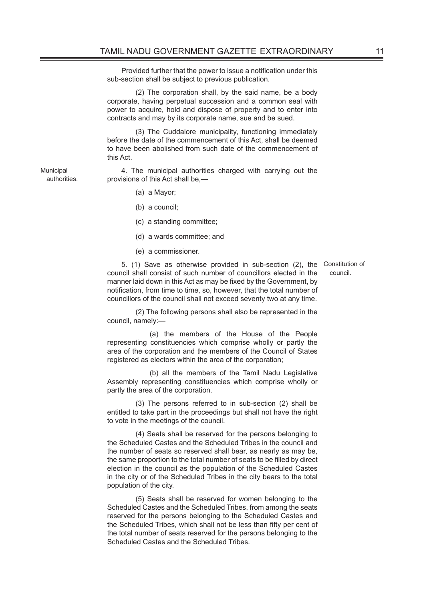Provided further that the power to issue a notification under this sub-section shall be subject to previous publication.

(2) The corporation shall, by the said name, be a body corporate, having perpetual succession and a common seal with power to acquire, hold and dispose of property and to enter into contracts and may by its corporate name, sue and be sued.

(3) The Cuddalore municipality, functioning immediately before the date of the commencement of this Act, shall be deemed to have been abolished from such date of the commencement of this Act.

4. The municipal authorities charged with carrying out the provisions of this Act shall be,—

(a) a Mayor;

Municipal authorities.

- (b) a council;
- (c) a standing committee;
- (d) a wards committee; and
- (e) a commissioner.

5. (1) Save as otherwise provided in sub-section (2), the Constitution of council shall consist of such number of councillors elected in the manner laid down in this Act as may be fixed by the Government, by notification, from time to time, so, however, that the total number of councillors of the council shall not exceed seventy two at any time.

council.

(2) The following persons shall also be represented in the council, namely:—

 (a) the members of the House of the People representing constituencies which comprise wholly or partly the area of the corporation and the members of the Council of States registered as electors within the area of the corporation;

 (b) all the members of the Tamil Nadu Legislative Assembly representing constituencies which comprise wholly or partly the area of the corporation.

(3) The persons referred to in sub-section (2) shall be entitled to take part in the proceedings but shall not have the right to vote in the meetings of the council.

(4) Seats shall be reserved for the persons belonging to the Scheduled Castes and the Scheduled Tribes in the council and the number of seats so reserved shall bear, as nearly as may be, the same proportion to the total number of seats to be filled by direct election in the council as the population of the Scheduled Castes in the city or of the Scheduled Tribes in the city bears to the total population of the city.

(5) Seats shall be reserved for women belonging to the Scheduled Castes and the Scheduled Tribes, from among the seats reserved for the persons belonging to the Scheduled Castes and the Scheduled Tribes, which shall not be less than fifty per cent of the total number of seats reserved for the persons belonging to the Scheduled Castes and the Scheduled Tribes.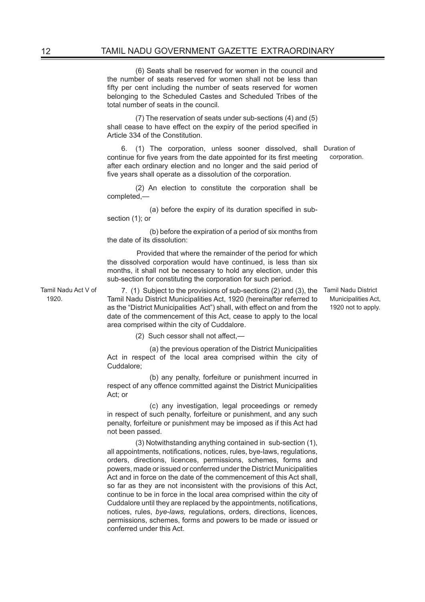(6) Seats shall be reserved for women in the council and the number of seats reserved for women shall not be less than fifty per cent including the number of seats reserved for women belonging to the Scheduled Castes and Scheduled Tribes of the total number of seats in the council.

(7) The reservation of seats under sub-sections (4) and (5) shall cease to have effect on the expiry of the period specified in Article 334 of the Constitution.

6. (1) The corporation, unless sooner dissolved, shall Duration of continue for five years from the date appointed for its first meeting after each ordinary election and no longer and the said period of five years shall operate as a dissolution of the corporation.

(2) An election to constitute the corporation shall be completed,—

(a) before the expiry of its duration specified in subsection (1); or

 (b) before the expiration of a period of six months from the date of its dissolution:

 Provided that where the remainder of the period for which the dissolved corporation would have continued, is less than six months, it shall not be necessary to hold any election, under this sub-section for constituting the corporation for such period.

Tamil Nadu Act V of 1920.

7. (1) Subject to the provisions of sub-sections (2) and (3), the Tamil Nadu District Tamil Nadu District Municipalities Act, 1920 (hereinafter referred to as the "District Municipalities Act") shall, with effect on and from the date of the commencement of this Act, cease to apply to the local area comprised within the city of Cuddalore.

(2) Such cessor shall not affect,—

 (a) the previous operation of the District Municipalities Act in respect of the local area comprised within the city of Cuddalore;

 (b) any penalty, forfeiture or punishment incurred in respect of any offence committed against the District Municipalities Act; or

 (c) any investigation, legal proceedings or remedy in respect of such penalty, forfeiture or punishment, and any such penalty, forfeiture or punishment may be imposed as if this Act had not been passed.

(3) Notwithstanding anything contained in sub-section (1), all appointments, notifications, notices, rules, bye-laws, regulations, orders, directions, licences, permissions, schemes, forms and powers, made or issued or conferred under the District Municipalities Act and in force on the date of the commencement of this Act shall, so far as they are not inconsistent with the provisions of this Act, continue to be in force in the local area comprised within the city of Cuddalore until they are replaced by the appointments, notifications, notices, rules, *bye-laws,* regulations, orders, directions, licences, permissions, schemes, forms and powers to be made or issued or conferred under this Act.

corporation.

Municipalities Act, 1920 not to apply.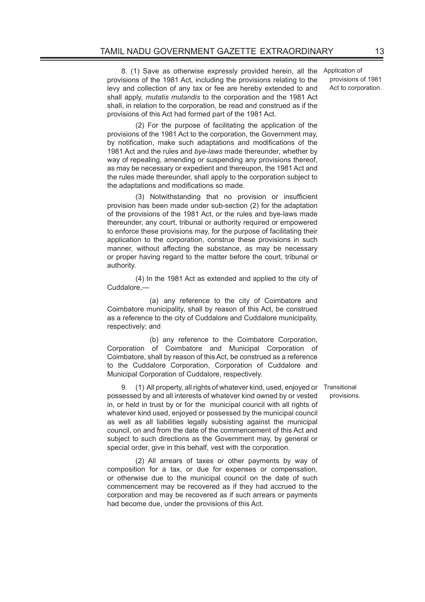8. (1) Save as otherwise expressly provided herein, all the provisions of the 1981 Act, including the provisions relating to the levy and collection of any tax or fee are hereby extended to and shall apply, *mutatis mutandis* to the corporation and the 1981 Act shall, in relation to the corporation, be read and construed as if the provisions of this Act had formed part of the 1981 Act.

(2) For the purpose of facilitating the application of the provisions of the 1981 Act to the corporation, the Government may, by notification, make such adaptations and modifications of the 1981 Act and the rules and *bye-laws* made thereunder, whether by way of repealing, amending or suspending any provisions thereof, as may be necessary or expedient and thereupon, the 1981 Act and the rules made thereunder, shall apply to the corporation subject to the adaptations and modifications so made.

(3) Notwithstanding that no provision or insufficient provision has been made under sub-section (2) for the adaptation of the provisions of the 1981 Act, or the rules and bye-laws made thereunder, any court, tribunal or authority required or empowered to enforce these provisions may, for the purpose of facilitating their application to the corporation, construe these provisions in such manner, without affecting the substance, as may be necessary or proper having regard to the matter before the court, tribunal or authority.

(4) In the 1981 Act as extended and applied to the city of Cuddalore —

 (a) any reference to the city of Coimbatore and Coimbatore municipality, shall by reason of this Act, be construed as a reference to the city of Cuddalore and Cuddalore municipality, respectively; and

 (b) any reference to the Coimbatore Corporation, Corporation of Coimbatore and Municipal Corporation of Coimbatore, shall by reason of this Act, be construed as a reference to the Cuddalore Corporation, Corporation of Cuddalore and Municipal Corporation of Cuddalore, respectively.

9. (1) All property, all rights of whatever kind, used, enjoyed or Transitional possessed by and all interests of whatever kind owned by or vested in, or held in trust by or for the municipal council with all rights of whatever kind used, enjoyed or possessed by the municipal council as well as all liabilities legally subsisting against the municipal council, on and from the date of the commencement of this Act and subject to such directions as the Government may, by general or special order, give in this behalf, vest with the corporation.

(2) All arrears of taxes or other payments by way of composition for a tax, or due for expenses or compensation, or otherwise due to the municipal council on the date of such commencement may be recovered as if they had accrued to the corporation and may be recovered as if such arrears or payments had become due, under the provisions of this Act.

Application of provisions of 1981 Act to corporation.

provisions.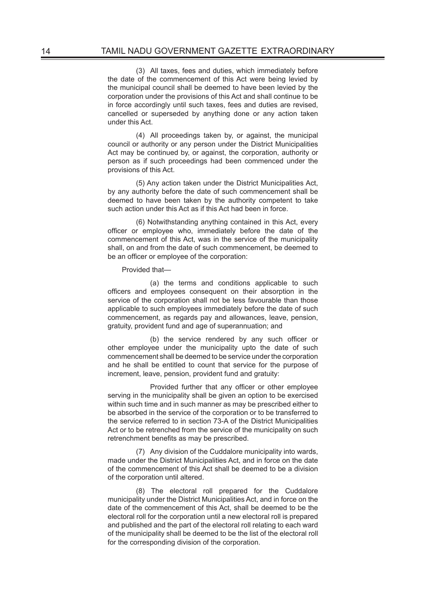(3) All taxes, fees and duties, which immediately before the date of the commencement of this Act were being levied by the municipal council shall be deemed to have been levied by the corporation under the provisions of this Act and shall continue to be in force accordingly until such taxes, fees and duties are revised, cancelled or superseded by anything done or any action taken under this Act.

(4) All proceedings taken by, or against, the municipal council or authority or any person under the District Municipalities Act may be continued by, or against, the corporation, authority or person as if such proceedings had been commenced under the provisions of this Act.

(5) Any action taken under the District Municipalities Act, by any authority before the date of such commencement shall be deemed to have been taken by the authority competent to take such action under this Act as if this Act had been in force.

(6) Notwithstanding anything contained in this Act, every officer or employee who, immediately before the date of the commencement of this Act, was in the service of the municipality shall, on and from the date of such commencement, be deemed to be an officer or employee of the corporation:

Provided that—

 (a) the terms and conditions applicable to such officers and employees consequent on their absorption in the service of the corporation shall not be less favourable than those applicable to such employees immediately before the date of such commencement, as regards pay and allowances, leave, pension, gratuity, provident fund and age of superannuation; and

(b) the service rendered by any such officer or other employee under the municipality upto the date of such commencement shall be deemed to be service under the corporation and he shall be entitled to count that service for the purpose of increment, leave, pension, provident fund and gratuity:

Provided further that any officer or other employee serving in the municipality shall be given an option to be exercised within such time and in such manner as may be prescribed either to be absorbed in the service of the corporation or to be transferred to the service referred to in section 73-A of the District Municipalities Act or to be retrenched from the service of the municipality on such retrenchment benefits as may be prescribed.

(7) Any division of the Cuddalore municipality into wards, made under the District Municipalities Act, and in force on the date of the commencement of this Act shall be deemed to be a division of the corporation until altered.

(8) The electoral roll prepared for the Cuddalore municipality under the District Municipalities Act, and in force on the date of the commencement of this Act, shall be deemed to be the electoral roll for the corporation until a new electoral roll is prepared and published and the part of the electoral roll relating to each ward of the municipality shall be deemed to be the list of the electoral roll for the corresponding division of the corporation.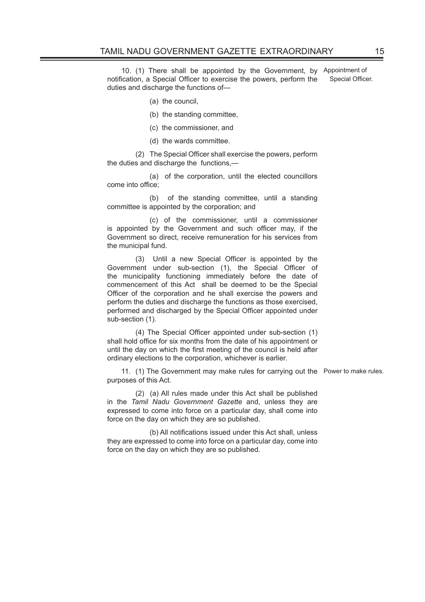10. (1) There shall be appointed by the Government, by Appointment of notification, a Special Officer to exercise the powers, perform the duties and discharge the functions of— Special Officer.

- (a) the council,
- (b) the standing committee,
- (c) the commissioner, and
- (d) the wards committee.

(2) The Special Officer shall exercise the powers, perform the duties and discharge the functions,—

 (a) of the corporation, until the elected councillors come into office;

 (b) of the standing committee, until a standing committee is appointed by the corporation; and

 (c) of the commissioner, until a commissioner is appointed by the Government and such officer may, if the Government so direct, receive remuneration for his services from the municipal fund.

(3) Until a new Special Officer is appointed by the Government under sub-section (1), the Special Officer of the municipality functioning immediately before the date of commencement of this Act shall be deemed to be the Special Officer of the corporation and he shall exercise the powers and perform the duties and discharge the functions as those exercised, performed and discharged by the Special Officer appointed under sub-section (1).

(4) The Special Officer appointed under sub-section (1) shall hold office for six months from the date of his appointment or until the day on which the first meeting of the council is held after ordinary elections to the corporation, whichever is earlier.

11. (1) The Government may make rules for carrying out the Power to make rules. purposes of this Act.

(2) (a) All rules made under this Act shall be published in the *Tamil Nadu Government Gazette* and, unless they are expressed to come into force on a particular day, shall come into force on the day on which they are so published.

(b) All notifications issued under this Act shall, unless they are expressed to come into force on a particular day, come into force on the day on which they are so published.